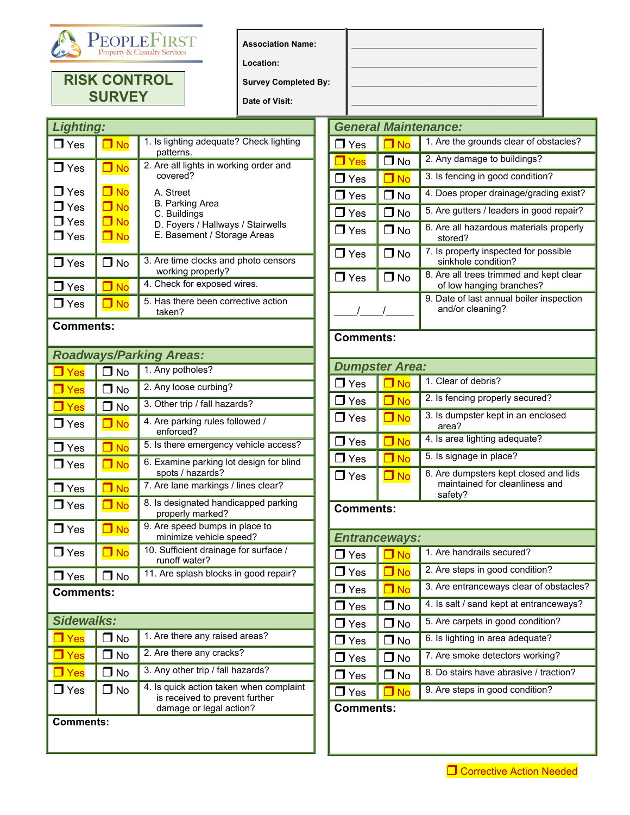

## **RISK CONTROL SURVEY**

**Location:** 

**Survey Completed By:** 

**Date of Visit:** 

| <b>Lighting:</b>                                     |                                                  |                                                                                                                         |  |
|------------------------------------------------------|--------------------------------------------------|-------------------------------------------------------------------------------------------------------------------------|--|
| $\Box$ Yes                                           | $\blacksquare$ No                                | 1. Is lighting adequate? Check lighting<br>patterns.                                                                    |  |
| $\Box$ Yes                                           | $\Box$ No                                        | 2. Are all lights in working order and<br>covered?                                                                      |  |
| $\Box$ Yes<br>$\Box$ Yes<br>$\Box$ Yes<br>$\Box$ Yes | $\Box$ No<br>$\Box$ No<br>$\Box$ No<br>$\Box$ No | A. Street<br><b>B. Parking Area</b><br>C. Buildings<br>D. Foyers / Hallways / Stairwells<br>E. Basement / Storage Areas |  |
| $\Box$ Yes                                           | $\Box$ No                                        | 3. Are time clocks and photo censors<br>working properly?                                                               |  |
| $\Box$ Yes                                           | J No                                             | 4. Check for exposed wires.                                                                                             |  |
| $\Box$ Yes                                           | J No                                             | 5. Has there been corrective action<br>taken?                                                                           |  |
|                                                      |                                                  |                                                                                                                         |  |

## **Comments:**

| <b>Roadways/Parking Areas:</b> |                  |                                                                                                      |  |  |  |
|--------------------------------|------------------|------------------------------------------------------------------------------------------------------|--|--|--|
| $\Box$ Yes                     | $\Box$ No        | 1. Any potholes?                                                                                     |  |  |  |
| $\Box$ Yes                     | $\Box$ No        | 2. Any loose curbing?                                                                                |  |  |  |
| $\Box$ Yes                     | $\Box$ No        | 3. Other trip / fall hazards?                                                                        |  |  |  |
| $\Box$ Yes                     | $\Box$ No        | 4. Are parking rules followed /<br>enforced?                                                         |  |  |  |
| $\Box$ Yes                     | $\square$ No     | 5. Is there emergency vehicle access?                                                                |  |  |  |
| $\blacksquare$ Yes             | $\square$ No     | 6. Examine parking lot design for blind<br>spots / hazards?                                          |  |  |  |
| $\Box$ Yes                     | $\square$ No     | 7. Are lane markings / lines clear?                                                                  |  |  |  |
| $\Box$ Yes                     | $\Box$ No        | 8. Is designated handicapped parking<br>properly marked?                                             |  |  |  |
| $\Box$ Yes                     | $\Box$ No        | 9. Are speed bumps in place to<br>minimize vehicle speed?                                            |  |  |  |
| $\Box$ Yes                     | $\Box$ No        | 10. Sufficient drainage for surface /<br>runoff water?                                               |  |  |  |
| $\Box$ Yes                     | $\Box$ No        | 11. Are splash blocks in good repair?                                                                |  |  |  |
|                                | <b>Comments:</b> |                                                                                                      |  |  |  |
| Sidewalks:                     |                  |                                                                                                      |  |  |  |
| $\Box$ Yes                     | $\Box$ No        | 1. Are there any raised areas?                                                                       |  |  |  |
| $\Box$ Yes                     | هN T             | 2. Are there any cracks?                                                                             |  |  |  |
| $\Box$ Yes                     | J No             | 3. Any other trip / fall hazards?                                                                    |  |  |  |
| $\Box$ Yes                     | $\Box$ No        | 4. Is quick action taken when complaint<br>is received to prevent further<br>damage or legal action? |  |  |  |
|                                | <b>Comments:</b> |                                                                                                      |  |  |  |

| <b>General Maintenance:</b> |              |                                                                     |  |  |  |
|-----------------------------|--------------|---------------------------------------------------------------------|--|--|--|
| $\Box$ Yes                  | $\Box$ No    | 1. Are the grounds clear of obstacles?                              |  |  |  |
| $\Box$ Yes                  | $\Box$ No    | 2. Any damage to buildings?                                         |  |  |  |
| $\Box$ Yes                  | $\square$ No | 3. Is fencing in good condition?                                    |  |  |  |
| $\Box$ Yes                  | $\Box$ No    | 4. Does proper drainage/grading exist?                              |  |  |  |
| $\Box$ Yes                  | $\Box$ No    | 5. Are gutters / leaders in good repair?                            |  |  |  |
| $\Box$ Yes                  | $\Box$ No    | 6. Are all hazardous materials properly<br>stored?                  |  |  |  |
| $\Box$ Yes                  | □ No         | 7. Is property inspected for possible<br>sinkhole condition?        |  |  |  |
| $\Box$ Yes                  | $\Box$ No    | 8. Are all trees trimmed and kept clear<br>of low hanging branches? |  |  |  |
|                             |              | 9. Date of last annual boiler inspection<br>and/or cleaning?        |  |  |  |

**\_\_\_\_\_\_\_\_\_\_\_\_\_\_\_\_\_\_\_\_\_\_\_\_\_\_\_\_\_\_\_\_\_\_\_\_\_\_\_\_\_\_\_\_\_ \_\_\_\_\_\_\_\_\_\_\_\_\_\_\_\_\_\_\_\_\_\_\_\_\_\_\_\_\_\_\_\_\_\_\_\_\_\_\_\_\_\_\_\_\_ \_\_\_\_\_\_\_\_\_\_\_\_\_\_\_\_\_\_\_\_\_\_\_\_\_\_\_\_\_\_\_\_\_\_\_\_\_\_\_\_\_\_\_\_\_**   $\mathcal{L} = \{ \mathcal{L} \}$ 

## **Comments:**

|                                 | <b>Dumpster Area:</b>    |                                                                                    |  |  |  |
|---------------------------------|--------------------------|------------------------------------------------------------------------------------|--|--|--|
| $\mathsf{\mathsf{J}}$ Yes       | $\Box$ No                | 1. Clear of debris?                                                                |  |  |  |
| $\mathbf{\mathsf{J}}$ Yes       | $\Box$ No                | 2. Is fencing properly secured?                                                    |  |  |  |
| $\Box$ Yes                      | $\Box$ No                | 3. Is dumpster kept in an enclosed<br>area?                                        |  |  |  |
| $\operatorname{\mathsf{J}}$ Yes | $\blacksquare$ No        | 4. Is area lighting adequate?                                                      |  |  |  |
| $\mathsf{\mathsf{J}}$ Yes       | $\Box$ No                | 5. Is signage in place?                                                            |  |  |  |
| $\mathsf{l}$ Yes                | $\Box$ No                | 6. Are dumpsters kept closed and lids<br>maintained for cleanliness and<br>safety? |  |  |  |
|                                 | <b>Comments:</b>         |                                                                                    |  |  |  |
|                                 | Entranceways:            |                                                                                    |  |  |  |
| $\mathsf{\mathsf{J}}$ Yes       | ${\mathsf \mathsf J}$ No | 1. Are handrails secured?                                                          |  |  |  |
| $\mathsf{\mathsf{J}}$ Yes       | $\Box$ No                | 2. Are steps in good condition?                                                    |  |  |  |
| $\mathsf{\mathsf{J}}$ Yes       | <b>No</b>                | 3. Are entranceways clear of obstacles?                                            |  |  |  |
| $\mathsf{\mathsf{J}}$ Yes       | J No                     | 4. Is salt / sand kept at entranceways?                                            |  |  |  |
| $\mathsf{\mathsf{J}}$ Yes       | $\mathsf I$ No           | 5. Are carpets in good condition?                                                  |  |  |  |
| $\mathsf{\mathsf{J}}$ Yes       | J No                     | 6. Is lighting in area adequate?                                                   |  |  |  |
| $\mathsf{\mathsf{J}}$ Yes       | $\Box$ No                | 7. Are smoke detectors working?                                                    |  |  |  |
| $\mathsf{\mathsf{J}}$ Yes       | هN <b>T</b>              | 8. Do stairs have abrasive / traction?                                             |  |  |  |
| $\mathsf{\mathsf{J}}$ Yes       | $\square$ No             | 9. Are steps in good condition?                                                    |  |  |  |
| <b>Comments:</b>                |                          |                                                                                    |  |  |  |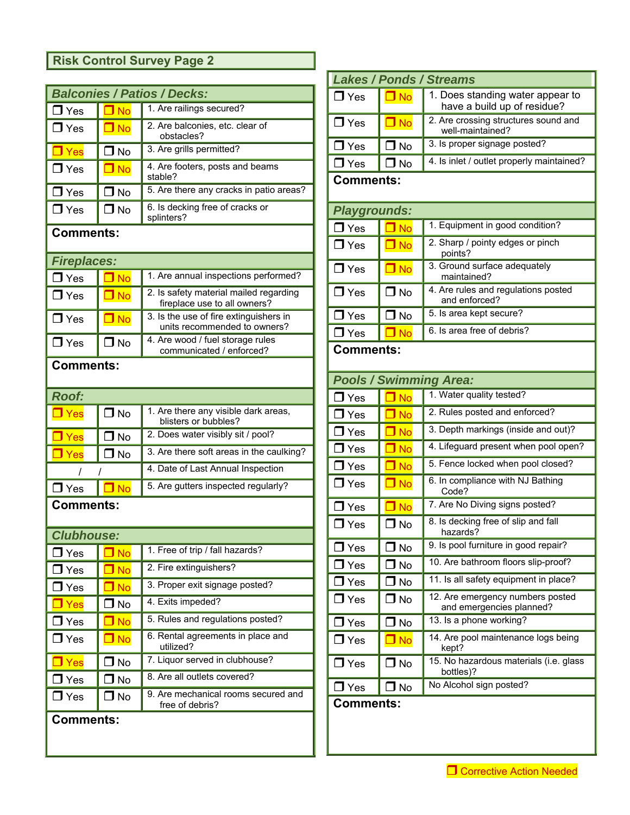## **Risk Control Survey Page 2**

|                           | <b>Balconies / Patios / Decks:</b>       |                                                                        |  |  |  |
|---------------------------|------------------------------------------|------------------------------------------------------------------------|--|--|--|
| $\Box$ Yes                | 1. Are railings secured?<br>$\square$ No |                                                                        |  |  |  |
| $\Box$ Yes                | $\Box$ No                                | 2. Are balconies, etc. clear of<br>obstacles?                          |  |  |  |
| $\Box$ Yes                | $\mathsf I$ No                           | 3. Are grills permitted?                                               |  |  |  |
| $\Box$ Yes                | $\Box$ No                                | 4. Are footers, posts and beams<br>stable?                             |  |  |  |
| $\Box$ Yes                | $\mathsf I$ No                           | 5. Are there any cracks in patio areas?                                |  |  |  |
| $\Box$ Yes                | $\Box$ No                                | 6. Is decking free of cracks or<br>splinters?                          |  |  |  |
| <b>Comments:</b>          |                                          |                                                                        |  |  |  |
| <b>Fireplaces:</b>        |                                          |                                                                        |  |  |  |
| $\Box$ Yes                | $\square$ No                             | 1. Are annual inspections performed?                                   |  |  |  |
| $\Box$ Yes                | $\square$ No                             | 2. Is safety material mailed regarding<br>fireplace use to all owners? |  |  |  |
| $\Box$ Yes                | $\n  o\n$                                | 3. Is the use of fire extinguishers in<br>units recommended to owners? |  |  |  |
| $\Box$ Yes                | $\square$ No                             | 4. Are wood / fuel storage rules<br>communicated / enforced?           |  |  |  |
| <b>Comments:</b>          |                                          |                                                                        |  |  |  |
| <b>Roof:</b>              |                                          |                                                                        |  |  |  |
| $\Box$ Yes                | $\Box$ No                                | 1. Are there any visible dark areas,<br>blisters or bubbles?           |  |  |  |
| $\Box$ Yes                | ∩ No                                     | 2. Does water visibly sit / pool?                                      |  |  |  |
| $\Box$ Yes                | J No                                     | 3. Are there soft areas in the caulking?                               |  |  |  |
| Ι                         |                                          | 4. Date of Last Annual Inspection                                      |  |  |  |
| $\Box$ No<br>$\Box$ Yes   |                                          | 5. Are gutters inspected regularly?                                    |  |  |  |
| <b>Comments:</b>          |                                          |                                                                        |  |  |  |
| <b>Clubhouse:</b>         |                                          |                                                                        |  |  |  |
| ${\mathsf J}$ Yes         | $\overline{\mathsf{J}}$ No               | 1. Free of trip / fall hazards?                                        |  |  |  |
| $\mathbf J$ Yes           | $\square$ No                             | 2. Fire extinguishers?                                                 |  |  |  |
| ${\bf J}$ Yes             | $\square$ No                             | 3. Proper exit signage posted?                                         |  |  |  |
| Yes                       | $\mathsf{\mathsf{J}}$ No                 | 4. Exits impeded?                                                      |  |  |  |
| $\mathsf{\mathsf{J}}$ Yes | $\blacksquare$ No                        | 5. Rules and regulations posted?                                       |  |  |  |
| $\mathsf{\mathsf{J}}$ Yes | $\overline{\mathsf{J}}$ No               | 6. Rental agreements in place and<br>utilized?                         |  |  |  |
| l Yes                     | J No                                     | 7. Liquor served in clubhouse?                                         |  |  |  |
| $\mathbf J$ Yes           | J No                                     | 8. Are all outlets covered?                                            |  |  |  |
| $\mathbb{J}$ Yes          | J No                                     | 9. Are mechanical rooms secured and<br>free of debris?                 |  |  |  |
| <b>Comments:</b>          |                                          |                                                                        |  |  |  |

| <b>Lakes / Ponds / Streams</b>                           |                  |                                                                 |  |  |  |  |
|----------------------------------------------------------|------------------|-----------------------------------------------------------------|--|--|--|--|
| $\Box$ Yes                                               | $\square$ No     | 1. Does standing water appear to<br>have a build up of residue? |  |  |  |  |
| $\Box$ Yes                                               | $\square$ No     | 2. Are crossing structures sound and<br>well-maintained?        |  |  |  |  |
| $\Box$ Yes                                               | $\Box$ No        | 3. Is proper signage posted?                                    |  |  |  |  |
| $\Box$ Yes                                               | $\Box$ No        | 4. Is inlet / outlet properly maintained?                       |  |  |  |  |
|                                                          | <b>Comments:</b> |                                                                 |  |  |  |  |
| Playgrounds:                                             |                  |                                                                 |  |  |  |  |
| $\Box$ Yes                                               | $\square$ No     | 1. Equipment in good condition?                                 |  |  |  |  |
| $\mathsf{\mathsf{J}}$ Yes                                | $\square$ No     | 2. Sharp / pointy edges or pinch<br>points?                     |  |  |  |  |
| $\Box$ Yes                                               | $\Box$ No        | 3. Ground surface adequately<br>maintained?                     |  |  |  |  |
| $\Box$ Yes                                               | $\Box$ No        | 4. Are rules and regulations posted<br>and enforced?            |  |  |  |  |
| $\Box$ Yes                                               | $\square$ No     | 5. Is area kept secure?                                         |  |  |  |  |
| 6. Is area free of debris?<br>$\square$ No<br>$\Box$ Yes |                  |                                                                 |  |  |  |  |
| <b>Comments:</b>                                         |                  |                                                                 |  |  |  |  |
|                                                          |                  | <b>Pools / Swimming Area:</b>                                   |  |  |  |  |
| $\Box$ Yes                                               | $\square$ No     | 1. Water quality tested?                                        |  |  |  |  |
| $\Box$ Yes                                               | $\square$ No     | 2. Rules posted and enforced?                                   |  |  |  |  |
| $\mathsf{\mathsf{J}}$ Yes                                | $\square$ No     | 3. Depth markings (inside and out)?                             |  |  |  |  |
| $\Box$ Yes                                               | $\square$ No     | 4. Lifeguard present when pool open?                            |  |  |  |  |
| $\Box$ Yes                                               | $\square$ No     | 5. Fence locked when pool closed?                               |  |  |  |  |
| $\Box$ Yes                                               | $\square$ No     | 6. In compliance with NJ Bathing<br>Code?                       |  |  |  |  |
| J Yes                                                    | $\square$ No     | 7. Are No Diving signs posted?                                  |  |  |  |  |
| $\mathsf{\mathsf{J}}$ Yes                                | $\Box$ No        | 8. Is decking free of slip and fall<br>hazards?                 |  |  |  |  |
| Yes                                                      | J No             | 9. Is pool furniture in good repair?                            |  |  |  |  |
| Yes                                                      | J No             | 10. Are bathroom floors slip-proof?                             |  |  |  |  |
| $\mathsf{\mathsf{J}}$ Yes                                | J No             | 11. Is all safety equipment in place?                           |  |  |  |  |
| $\mathsf{\mathsf{J}}$ Yes                                | $\Box$ No        | 12. Are emergency numbers posted<br>and emergencies planned?    |  |  |  |  |
| $\mathsf{J}$ Yes                                         | J No             | 13. Is a phone working?                                         |  |  |  |  |
| $\mathsf{\mathsf{J}}$ Yes                                | $\Box$ No        | 14. Are pool maintenance logs being<br>kept?                    |  |  |  |  |
| $\mathsf J$ Yes                                          | J No             | 15. No hazardous materials (i.e. glass<br>bottles)?             |  |  |  |  |
| $\mathsf J$ Yes                                          | J No             | No Alcohol sign posted?                                         |  |  |  |  |
| <b>Comments:</b>                                         |                  |                                                                 |  |  |  |  |